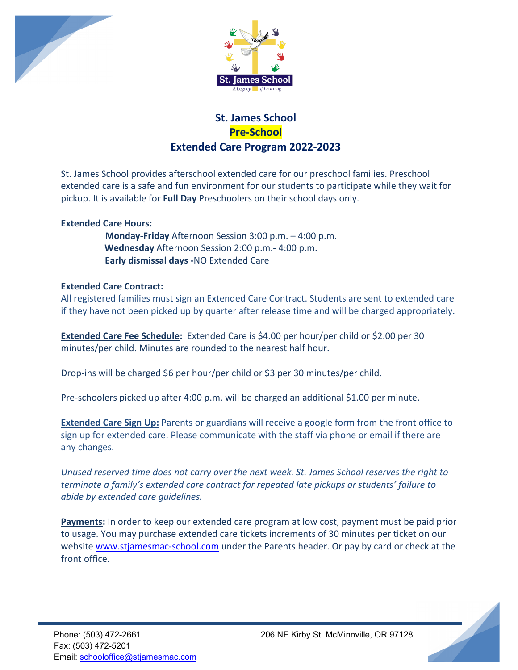



## **St. James School Pre-School Extended Care Program 2022-2023**

St. James School provides afterschool extended care for our preschool families. Preschool extended care is a safe and fun environment for our students to participate while they wait for pickup. It is available for **Full Day** Preschoolers on their school days only.

## **Extended Care Hours:**

 **Monday-Friday** Afternoon Session 3:00 p.m. – 4:00 p.m. **Wednesday** Afternoon Session 2:00 p.m.- 4:00 p.m. **Early dismissal days -**NO Extended Care

## **Extended Care Contract:**

All registered families must sign an Extended Care Contract. Students are sent to extended care if they have not been picked up by quarter after release time and will be charged appropriately.

**Extended Care Fee Schedule:** Extended Care is \$4.00 per hour/per child or \$2.00 per 30 minutes/per child. Minutes are rounded to the nearest half hour.

Drop-ins will be charged \$6 per hour/per child or \$3 per 30 minutes/per child.

Pre-schoolers picked up after 4:00 p.m. will be charged an additional \$1.00 per minute.

**Extended Care Sign Up:** Parents or guardians will receive a google form from the front office to sign up for extended care. Please communicate with the staff via phone or email if there are any changes.

*Unused reserved time does not carry over the next week. St. James School reserves the right to terminate a family's extended care contract for repeated late pickups or students' failure to abide by extended care guidelines.*

**Payments:** In order to keep our extended care program at low cost, payment must be paid prior to usage. You may purchase extended care tickets increments of 30 minutes per ticket on our website [www.stjamesmac-school.com](http://www.stjamesmac-school.com/) under the Parents header. Or pay by card or check at the front office.